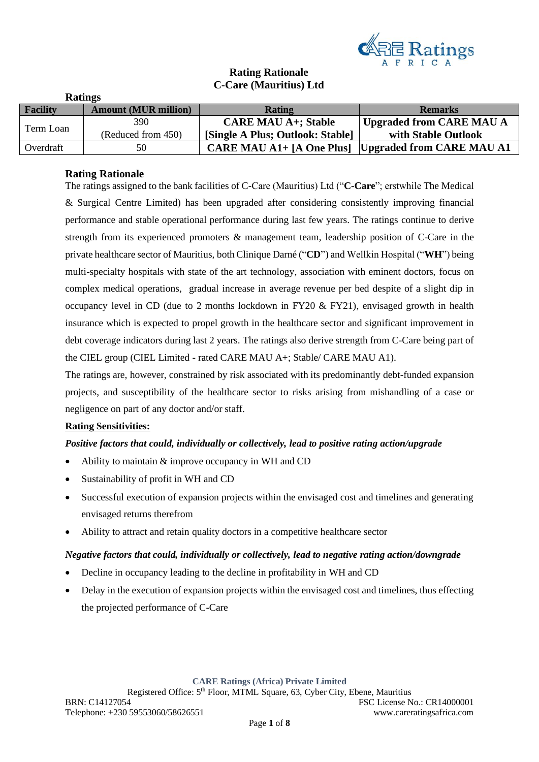

# **Rating Rationale C-Care (Mauritius) Ltd**

|                 | <b>Ratings</b>              |                                  |                           |
|-----------------|-----------------------------|----------------------------------|---------------------------|
| <b>Facility</b> | <b>Amount (MUR million)</b> | Rating                           | <b>Remarks</b>            |
| Term Loan       | 390                         | <b>CARE MAU A+; Stable</b>       | Upgraded from CARE MAU A  |
|                 | (Reduced from 450)          | [Single A Plus; Outlook: Stable] | with Stable Outlook       |
| Overdraft       | 50                          | <b>CARE MAU A1+</b> [A One Plus] | Upgraded from CARE MAU A1 |

## **Rating Rationale**

The ratings assigned to the bank facilities of C-Care (Mauritius) Ltd ("**C-Care**"; erstwhile The Medical & Surgical Centre Limited) has been upgraded after considering consistently improving financial performance and stable operational performance during last few years. The ratings continue to derive strength from its experienced promoters & management team, leadership position of C-Care in the private healthcare sector of Mauritius, both Clinique Darné ("**CD**") and Wellkin Hospital ("**WH**") being multi-specialty hospitals with state of the art technology, association with eminent doctors, focus on complex medical operations, gradual increase in average revenue per bed despite of a slight dip in occupancy level in CD (due to 2 months lockdown in FY20 & FY21), envisaged growth in health insurance which is expected to propel growth in the healthcare sector and significant improvement in debt coverage indicators during last 2 years. The ratings also derive strength from C-Care being part of the CIEL group (CIEL Limited - rated CARE MAU A+; Stable/ CARE MAU A1).

The ratings are, however, constrained by risk associated with its predominantly debt-funded expansion projects, and susceptibility of the healthcare sector to risks arising from mishandling of a case or negligence on part of any doctor and/or staff.

#### **Rating Sensitivities:**

#### *Positive factors that could, individually or collectively, lead to positive rating action/upgrade*

- Ability to maintain & improve occupancy in WH and CD
- Sustainability of profit in WH and CD
- Successful execution of expansion projects within the envisaged cost and timelines and generating envisaged returns therefrom
- Ability to attract and retain quality doctors in a competitive healthcare sector

#### *Negative factors that could, individually or collectively, lead to negative rating action/downgrade*

- Decline in occupancy leading to the decline in profitability in WH and CD
- Delay in the execution of expansion projects within the envisaged cost and timelines, thus effecting the projected performance of C-Care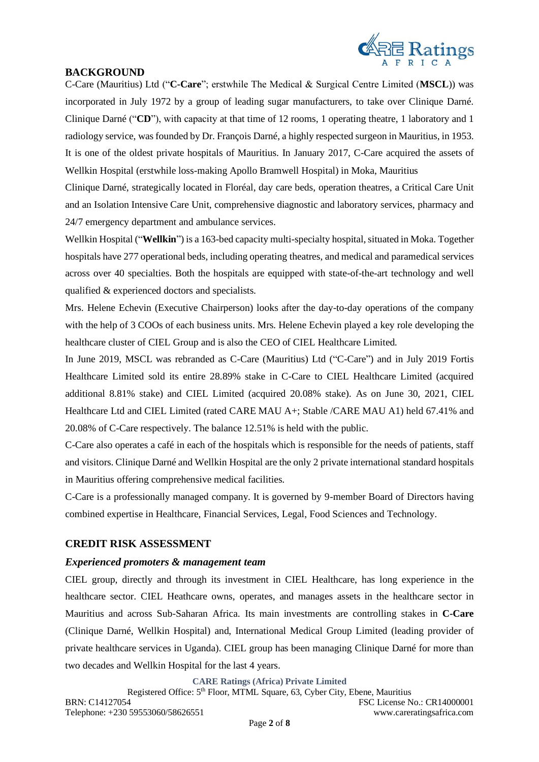

# **BACKGROUND**

C-Care (Mauritius) Ltd ("**C-Care**"; erstwhile The Medical & Surgical Centre Limited (**MSCL**)) was incorporated in July 1972 by a group of leading sugar manufacturers, to take over Clinique Darné. Clinique Darné ("**CD**"), with capacity at that time of 12 rooms, 1 operating theatre, 1 laboratory and 1 radiology service, was founded by Dr. François Darné, a highly respected surgeon in Mauritius, in 1953. It is one of the oldest private hospitals of Mauritius. In January 2017, C-Care acquired the assets of Wellkin Hospital (erstwhile loss-making Apollo Bramwell Hospital) in Moka, Mauritius

Clinique Darné, strategically located in Floréal, day care beds, operation theatres, a Critical Care Unit and an Isolation Intensive Care Unit, comprehensive diagnostic and laboratory services, pharmacy and 24/7 emergency department and ambulance services.

Wellkin Hospital ("**Wellkin**") is a 163-bed capacity multi-specialty hospital, situated in Moka. Together hospitals have 277 operational beds, including operating theatres, and medical and paramedical services across over 40 specialties. Both the hospitals are equipped with state-of-the-art technology and well qualified & experienced doctors and specialists.

Mrs. Helene Echevin (Executive Chairperson) looks after the day-to-day operations of the company with the help of 3 COOs of each business units. Mrs. Helene Echevin played a key role developing the healthcare cluster of CIEL Group and is also the CEO of CIEL Healthcare Limited.

In June 2019, MSCL was rebranded as C-Care (Mauritius) Ltd ("C-Care") and in July 2019 Fortis Healthcare Limited sold its entire 28.89% stake in C-Care to CIEL Healthcare Limited (acquired additional 8.81% stake) and CIEL Limited (acquired 20.08% stake). As on June 30, 2021, CIEL Healthcare Ltd and CIEL Limited (rated CARE MAU A+; Stable /CARE MAU A1) held 67.41% and 20.08% of C-Care respectively. The balance 12.51% is held with the public.

C-Care also operates a café in each of the hospitals which is responsible for the needs of patients, staff and visitors. Clinique Darné and Wellkin Hospital are the only 2 private international standard hospitals in Mauritius offering comprehensive medical facilities.

C-Care is a professionally managed company. It is governed by 9-member Board of Directors having combined expertise in Healthcare, Financial Services, Legal, Food Sciences and Technology.

## **CREDIT RISK ASSESSMENT**

## *Experienced promoters & management team*

CIEL group, directly and through its investment in CIEL Healthcare, has long experience in the healthcare sector. CIEL Heathcare owns, operates, and manages assets in the healthcare sector in Mauritius and across Sub-Saharan Africa. Its main investments are controlling stakes in **C-Care** (Clinique Darné, Wellkin Hospital) and, International Medical Group Limited (leading provider of private healthcare services in Uganda). CIEL group has been managing Clinique Darné for more than two decades and Wellkin Hospital for the last 4 years.

**CARE Ratings (Africa) Private Limited**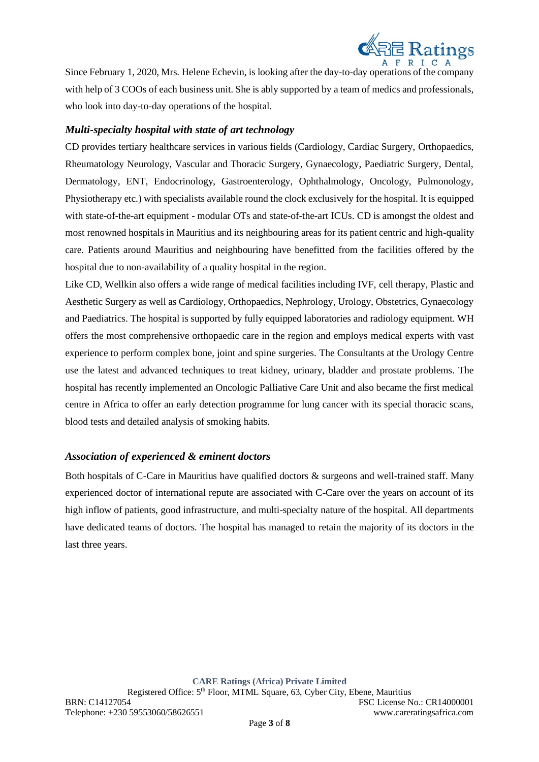

Since February 1, 2020, Mrs. Helene Echevin, is looking after the day-to-day operations of the company with help of 3 COOs of each business unit. She is ably supported by a team of medics and professionals, who look into day-to-day operations of the hospital.

## *Multi-specialty hospital with state of art technology*

CD provides tertiary healthcare services in various fields (Cardiology, Cardiac Surgery, Orthopaedics, Rheumatology Neurology, Vascular and Thoracic Surgery, Gynaecology, Paediatric Surgery, Dental, Dermatology, ENT, Endocrinology, Gastroenterology, Ophthalmology, Oncology, Pulmonology, Physiotherapy etc.) with specialists available round the clock exclusively for the hospital. It is equipped with state-of-the-art equipment - modular OTs and state-of-the-art ICUs. CD is amongst the oldest and most renowned hospitals in Mauritius and its neighbouring areas for its patient centric and high-quality care. Patients around Mauritius and neighbouring have benefitted from the facilities offered by the hospital due to non-availability of a quality hospital in the region.

Like CD, Wellkin also offers a wide range of medical facilities including IVF, cell therapy, Plastic and Aesthetic Surgery as well as Cardiology, Orthopaedics, Nephrology, Urology, Obstetrics, Gynaecology and Paediatrics. The hospital is supported by fully equipped laboratories and radiology equipment. WH offers the most comprehensive orthopaedic care in the region and employs medical experts with vast experience to perform complex bone, joint and spine surgeries. The Consultants at the Urology Centre use the latest and advanced techniques to treat kidney, urinary, bladder and prostate problems. The hospital has recently implemented an Oncologic Palliative Care Unit and also became the first medical centre in Africa to offer an early detection programme for lung cancer with its special thoracic scans, blood tests and detailed analysis of smoking habits.

## *Association of experienced & eminent doctors*

Both hospitals of C-Care in Mauritius have qualified doctors & surgeons and well-trained staff. Many experienced doctor of international repute are associated with C-Care over the years on account of its high inflow of patients, good infrastructure, and multi-specialty nature of the hospital. All departments have dedicated teams of doctors. The hospital has managed to retain the majority of its doctors in the last three years.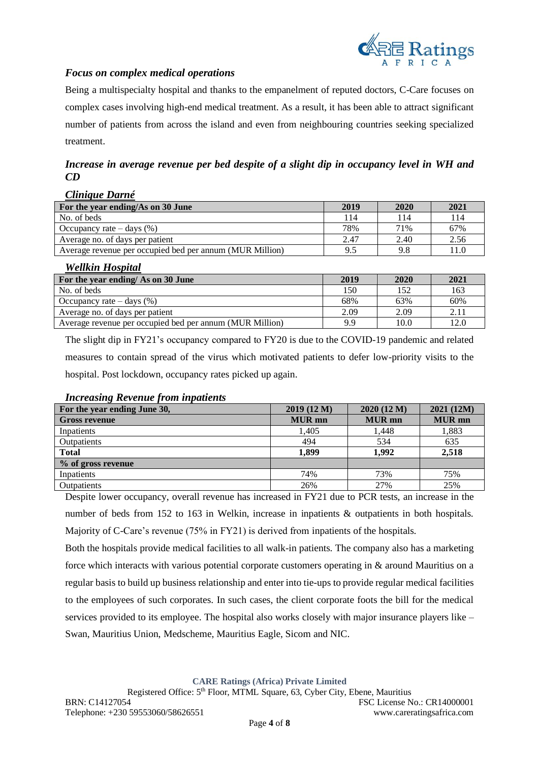

# *Focus on complex medical operations*

Being a multispecialty hospital and thanks to the empanelment of reputed doctors, C-Care focuses on complex cases involving high-end medical treatment. As a result, it has been able to attract significant number of patients from across the island and even from neighbouring countries seeking specialized treatment.

*Increase in average revenue per bed despite of a slight dip in occupancy level in WH and CD*

#### *Clinique Darné*

| For the year ending/As on 30 June                        | 2019 | 2020 | 2021  |
|----------------------------------------------------------|------|------|-------|
| No. of beds                                              | 14   | 114  | 114   |
| Occupancy rate $-\text{days}$ (%)                        | 78%  | 71%  | 67%   |
| Average no. of days per patient                          | 2.47 | 2.40 | 2.56  |
| Average revenue per occupied bed per annum (MUR Million) | 9.5  | 9.8  | l 1.C |

#### *Wellkin Hospital*

| For the year ending/ As on 30 June                       | 2019 | 2020 | 2021 |
|----------------------------------------------------------|------|------|------|
| No. of beds                                              | 150  | 152  | 163  |
| Occupancy rate $-\text{days}$ (%)                        | 68%  | 63%  | 60%  |
| Average no. of days per patient                          | 2.09 | 2.09 | 2.11 |
| Average revenue per occupied bed per annum (MUR Million) | 9.9  | 10.0 | 12.0 |

The slight dip in FY21's occupancy compared to FY20 is due to the COVID-19 pandemic and related measures to contain spread of the virus which motivated patients to defer low-priority visits to the hospital. Post lockdown, occupancy rates picked up again.

### **For the year ending June 30, 2019 (12 M) 2020 (12 M) 2021 (12M) Example 5 and 5 and 6 and 6 and 6 and 6 and 6 and 6 and 6 and 6 and 6 and 6 and 6 and 6 and 6 and 6 and 6 and 6 and 6 and 6 and 6 and 6 and 6 and 6 and 6 and 6 and 6 and 6 and 6 and 6 and 6 and 6 and 6 and 6 and 6 and 6 a** Inpatients 1,405 1,448 1,883 Outpatients 635 and 194 and 19534 for the contract of the contract of the contract of the contract of the contract of the contract of the contract of the contract of the contract of the contract of the contract of the cont **Total 1,899 1,992 2,518 % of gross revenue** Inpatients 74% 73% 75% Outpatients 26% 27% 25%

#### *Increasing Revenue from inpatients*

Despite lower occupancy, overall revenue has increased in FY21 due to PCR tests, an increase in the number of beds from 152 to 163 in Welkin, increase in inpatients & outpatients in both hospitals. Majority of C-Care's revenue (75% in FY21) is derived from inpatients of the hospitals.

Both the hospitals provide medical facilities to all walk-in patients. The company also has a marketing force which interacts with various potential corporate customers operating in & around Mauritius on a regular basis to build up business relationship and enter into tie-ups to provide regular medical facilities to the employees of such corporates. In such cases, the client corporate foots the bill for the medical services provided to its employee. The hospital also works closely with major insurance players like – Swan, Mauritius Union, Medscheme, Mauritius Eagle, Sicom and NIC.

**CARE Ratings (Africa) Private Limited**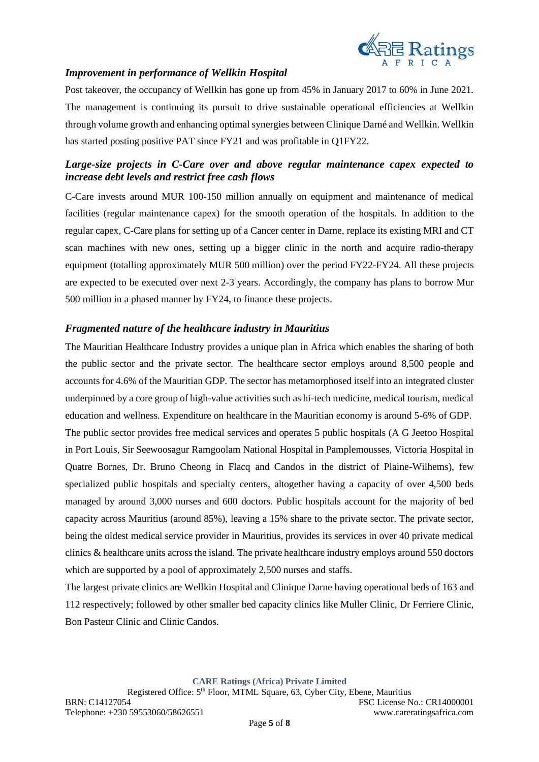

# *Improvement in performance of Wellkin Hospital*

Post takeover, the occupancy of Wellkin has gone up from 45% in January 2017 to 60% in June 2021. The management is continuing its pursuit to drive sustainable operational efficiencies at Wellkin through volume growth and enhancing optimal synergies between Clinique Darné and Wellkin. Wellkin has started posting positive PAT since FY21 and was profitable in Q1FY22.

# *Large-size projects in C-Care over and above regular maintenance capex expected to increase debt levels and restrict free cash flows*

C-Care invests around MUR 100-150 million annually on equipment and maintenance of medical facilities (regular maintenance capex) for the smooth operation of the hospitals. In addition to the regular capex, C-Care plans for setting up of a Cancer center in Darne, replace its existing MRI and CT scan machines with new ones, setting up a bigger clinic in the north and acquire radio-therapy equipment (totalling approximately MUR 500 million) over the period FY22-FY24. All these projects are expected to be executed over next 2-3 years. Accordingly, the company has plans to borrow Mur 500 million in a phased manner by FY24, to finance these projects.

# *Fragmented nature of the healthcare industry in Mauritius*

The Mauritian Healthcare Industry provides a unique plan in Africa which enables the sharing of both the public sector and the private sector. The healthcare sector employs around 8,500 people and accounts for 4.6% of the Mauritian GDP. The sector has metamorphosed itself into an integrated cluster underpinned by a core group of high-value activities such as hi-tech medicine, medical tourism, medical education and wellness. Expenditure on healthcare in the Mauritian economy is around 5-6% of GDP. The public sector provides free medical services and operates 5 public hospitals (A G Jeetoo Hospital in Port Louis, Sir Seewoosagur Ramgoolam National Hospital in Pamplemousses, Victoria Hospital in Quatre Bornes, Dr. Bruno Cheong in Flacq and Candos in the district of Plaine-Wilhems), few specialized public hospitals and specialty centers, altogether having a capacity of over 4,500 beds managed by around 3,000 nurses and 600 doctors. Public hospitals account for the majority of bed capacity across Mauritius (around 85%), leaving a 15% share to the private sector. The private sector, being the oldest medical service provider in Mauritius, provides its services in over 40 private medical clinics & healthcare units across the island. The private healthcare industry employs around 550 doctors which are supported by a pool of approximately 2,500 nurses and staffs.

The largest private clinics are Wellkin Hospital and Clinique Darne having operational beds of 163 and 112 respectively; followed by other smaller bed capacity clinics like Muller Clinic, Dr Ferriere Clinic, Bon Pasteur Clinic and Clinic Candos.

**CARE Ratings (Africa) Private Limited**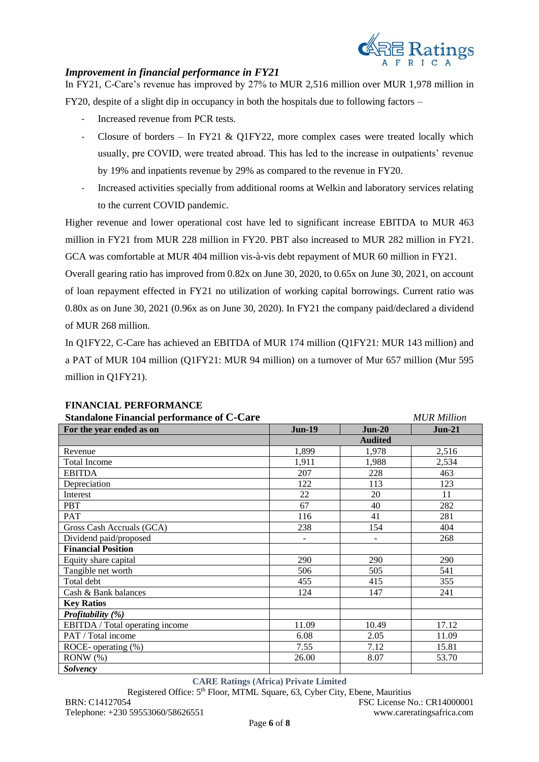

## *Improvement in financial performance in FY21*

In FY21, C-Care's revenue has improved by 27% to MUR 2,516 million over MUR 1,978 million in

FY20, despite of a slight dip in occupancy in both the hospitals due to following factors –

- Increased revenue from PCR tests.
- Closure of borders In FY21 & O1FY22, more complex cases were treated locally which usually, pre COVID, were treated abroad. This has led to the increase in outpatients' revenue by 19% and inpatients revenue by 29% as compared to the revenue in FY20.
- Increased activities specially from additional rooms at Welkin and laboratory services relating to the current COVID pandemic.

Higher revenue and lower operational cost have led to significant increase EBITDA to MUR 463 million in FY21 from MUR 228 million in FY20. PBT also increased to MUR 282 million in FY21. GCA was comfortable at MUR 404 million vis-à-vis debt repayment of MUR 60 million in FY21.

Overall gearing ratio has improved from 0.82x on June 30, 2020, to 0.65x on June 30, 2021, on account of loan repayment effected in FY21 no utilization of working capital borrowings. Current ratio was 0.80x as on June 30, 2021 (0.96x as on June 30, 2020). In FY21 the company paid/declared a dividend of MUR 268 million.

In Q1FY22, C-Care has achieved an EBITDA of MUR 174 million (Q1FY21: MUR 143 million) and a PAT of MUR 104 million (Q1FY21: MUR 94 million) on a turnover of Mur 657 million (Mur 595 million in Q1FY21).

| <b>Standalone Financial performance of C-Care</b>     | <b>MUR Million</b>       |                |          |
|-------------------------------------------------------|--------------------------|----------------|----------|
| For the year ended as on<br><b>Jun-19</b><br>$Jun-20$ |                          |                | $Jun-21$ |
|                                                       |                          | <b>Audited</b> |          |
| Revenue                                               | 1,899                    | 1,978          | 2,516    |
| <b>Total Income</b>                                   | 1,911                    | 1,988          | 2,534    |
| <b>EBITDA</b>                                         | 207                      | 228            | 463      |
| Depreciation                                          | 122                      | 113            | 123      |
| Interest                                              | 22                       | 20             | 11       |
| <b>PBT</b>                                            | 67                       | 40             | 282      |
| PAT                                                   | 116                      | 41             | 281      |
| Gross Cash Accruals (GCA)                             | 238                      | 154            | 404      |
| Dividend paid/proposed                                | $\overline{\phantom{0}}$ |                | 268      |
| <b>Financial Position</b>                             |                          |                |          |
| Equity share capital                                  | 290                      | 290            | 290      |
| Tangible net worth                                    | 506                      | 505            | 541      |
| Total debt                                            | 455                      | 415            | 355      |
| Cash & Bank balances                                  | 124                      | 147            | 241      |
| <b>Key Ratios</b>                                     |                          |                |          |
| Profitability (%)                                     |                          |                |          |
| EBITDA / Total operating income                       | 11.09                    | 10.49          | 17.12    |
| PAT / Total income                                    | 6.08                     | 2.05           | 11.09    |
| ROCE-operating $(\%)$                                 | 7.55                     | 7.12           | 15.81    |
| $RONW(\% )$                                           | 26.00                    | 8.07           | 53.70    |
| <b>Solvency</b>                                       |                          |                |          |

#### **FINANCIAL PERFORMANCE**

**CARE Ratings (Africa) Private Limited**

Registered Office: 5<sup>th</sup> Floor, MTML Square, 63, Cyber City, Ebene, Mauritius

BRN: C14127054 FSC License No.: CR14000001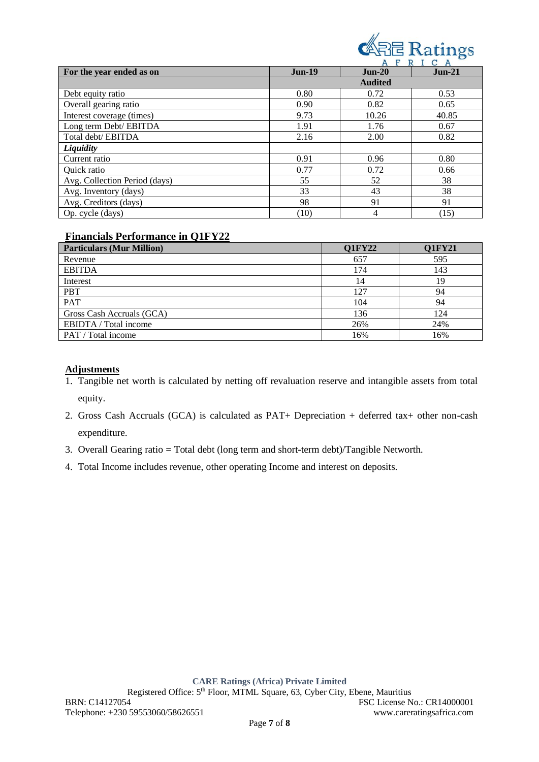

|                               | F<br>C<br>R<br>A<br>A |                |          |  |
|-------------------------------|-----------------------|----------------|----------|--|
| For the year ended as on      | $Jun-19$              | $Jun-20$       | $Jun-21$ |  |
|                               |                       | <b>Audited</b> |          |  |
| Debt equity ratio             | 0.80                  | 0.72           | 0.53     |  |
| Overall gearing ratio         | 0.90                  | 0.82           | 0.65     |  |
| Interest coverage (times)     | 9.73                  | 10.26          | 40.85    |  |
| Long term Debt/ EBITDA        | 1.91                  | 1.76           | 0.67     |  |
| Total debt/EBITDA             | 2.16                  | 2.00           | 0.82     |  |
| Liquidity                     |                       |                |          |  |
| Current ratio                 | 0.91                  | 0.96           | 0.80     |  |
| Quick ratio                   | 0.77                  | 0.72           | 0.66     |  |
| Avg. Collection Period (days) | 55                    | 52             | 38       |  |
| Avg. Inventory (days)         | 33                    | 43             | 38       |  |
| Avg. Creditors (days)         | 98                    | 91             | 91       |  |
| Op. cycle (days)              | (10)                  | 4              | (15)     |  |

# **Financials Performance in Q1FY22**

| <b>Particulars (Mur Million)</b> | <b>Q1FY22</b> | <b>Q1FY21</b> |
|----------------------------------|---------------|---------------|
| Revenue                          | 657           | 595           |
| <b>EBITDA</b>                    | 174           | 143           |
| Interest                         | 14            |               |
| <b>PBT</b>                       | 127           | 94            |
| <b>PAT</b>                       | 104           | 94            |
| Gross Cash Accruals (GCA)        | 136           | 124           |
| EBIDTA / Total income            | 26%           | 24%           |
| PAT / Total income               | 16%           | 16%           |

## **Adjustments**

- 1. Tangible net worth is calculated by netting off revaluation reserve and intangible assets from total equity.
- 2. Gross Cash Accruals (GCA) is calculated as PAT+ Depreciation + deferred tax+ other non-cash expenditure.
- 3. Overall Gearing ratio = Total debt (long term and short-term debt)/Tangible Networth.
- 4. Total Income includes revenue, other operating Income and interest on deposits.